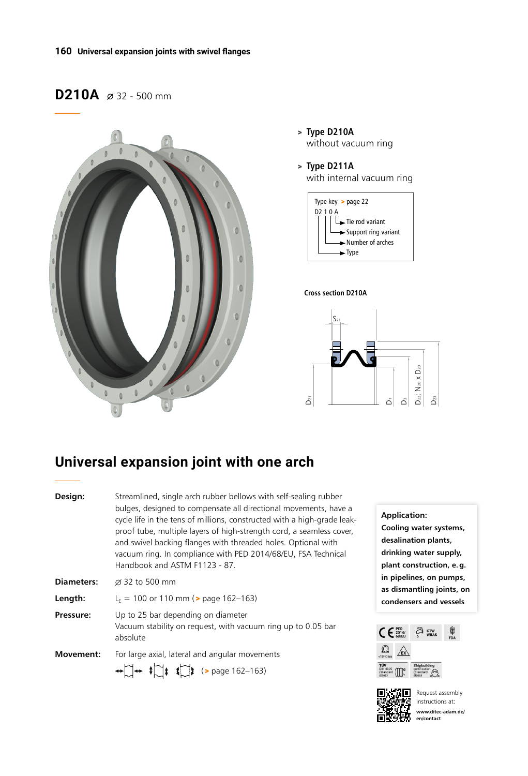# D210A  $\varnothing$  32 - 500 mm



> **Type D210A** without vacuum ring

> **Type D211A** with internal vacuum ring



#### **Cross section D210A**



## **Universal expansion joint with one arch**

| Design:           | Streamlined, single arch rubber bellows with self-sealing rubber<br>bulges, designed to compensate all directional movements, have a<br>cycle life in the tens of millions, constructed with a high-grade leak-<br>proof tube, multiple layers of high-strength cord, a seamless cover,<br>and swivel backing flanges with threaded holes. Optional with<br>vacuum ring. In compliance with PED 2014/68/EU, FSA Technical<br>Handbook and ASTM F1123 - 87. |
|-------------------|------------------------------------------------------------------------------------------------------------------------------------------------------------------------------------------------------------------------------------------------------------------------------------------------------------------------------------------------------------------------------------------------------------------------------------------------------------|
| <b>Diameters:</b> | Ø 32 to 500 mm                                                                                                                                                                                                                                                                                                                                                                                                                                             |
| Length:           | $L_F$ = 100 or 110 mm ( $>$ page 162–163)                                                                                                                                                                                                                                                                                                                                                                                                                  |
| Pressure:         | Up to 25 bar depending on diameter<br>Vacuum stability on request, with vacuum ring up to 0.05 bar<br>absolute                                                                                                                                                                                                                                                                                                                                             |
| <b>Movement:</b>  | For large axial, lateral and angular movements<br>$\leftrightarrow$ $\uparrow$ $\leftrightarrow$ $\uparrow$ $\uparrow$ $\uparrow$ $\uparrow$ $\downarrow$ (> page 162-163)                                                                                                                                                                                                                                                                                 |

**Application: Cooling water systems, desalination plants, drinking water supply, plant construction, e.g. in pipelines, on pumps, as dismantling joints, on condensers and vessels**





Request assembly instructions at: **www.ditec-adam.de/ en/contact**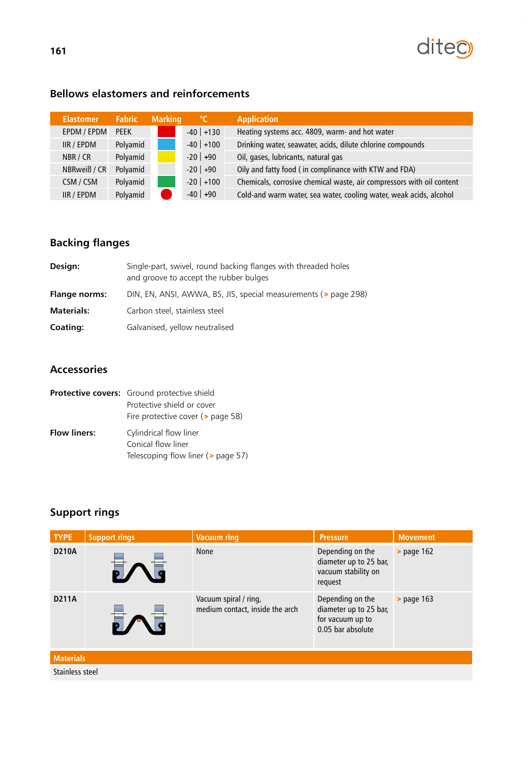

### **Bellows elastomers and reinforcements**

| <b>Elastomer</b> | <b>Fabric</b> | <b>Marking</b> | $^{\circ}$ C  | <b>Application</b>                                                    |
|------------------|---------------|----------------|---------------|-----------------------------------------------------------------------|
| EPDM / EPDM      | <b>PEEK</b>   |                | $-40$ +130    | Heating systems acc. 4809, warm- and hot water                        |
| IIR / EPDM       | Polyamid      |                | $-40$ +100    | Drinking water, seawater, acids, dilute chlorine compounds            |
| NBR / CR         | Polyamid      |                | $-20$   $+90$ | Oil, gases, lubricants, natural gas                                   |
| NBRweiß / CR     | Polyamid      |                | $-20$ +90     | Oily and fatty food (in complinance with KTW and FDA)                 |
| CSM / CSM        | Polyamid      |                | $-20$ +100    | Chemicals, corrosive chemical waste, air compressors with oil content |
| IIR / EPDM       | Polyamid      |                | $-40$ +90     | Cold-and warm water, sea water, cooling water, weak acids, alcohol    |

#### $\blacksquare$ IIR Aramid -20  $\blacksquare$ **Backing flanges**

| Design:              | Single-part, swivel, round backing flanges with threaded holes<br>and groove to accept the rubber bulges |
|----------------------|----------------------------------------------------------------------------------------------------------|
| <b>Flange norms:</b> | DIN, EN, ANSI, AWWA, BS, JIS, special measurements (> page 298)                                          |
| <b>Materials:</b>    | Carbon steel, stainless steel                                                                            |
| Coating:             | Galvanised, yellow neutralised                                                                           |

#### **Accessories**

|                     | <b>Protective covers:</b> Ground protective shield<br>Protective shield or cover<br>Fire protective cover (> page 58) |
|---------------------|-----------------------------------------------------------------------------------------------------------------------|
| <b>Flow liners:</b> | Cylindrical flow liner<br>Conical flow liner<br>Telescoping flow liner (> page 57)                                    |

### **Support rings**

| <b>TYPE</b>      | <b>Support rings</b> | <b>Vacuum ring</b>                                       | <b>Pressure</b>                                                                     | <b>Movement</b> |
|------------------|----------------------|----------------------------------------------------------|-------------------------------------------------------------------------------------|-----------------|
| <b>D210A</b>     |                      | <b>None</b>                                              | Depending on the<br>diameter up to 25 bar,<br>vacuum stability on<br>request        | $>$ page 162    |
| <b>D211A</b>     |                      | Vacuum spiral / ring,<br>medium contact, inside the arch | Depending on the<br>diameter up to 25 bar,<br>for vacuum up to<br>0.05 bar absolute | $>$ page 163    |
| <b>Materials</b> |                      |                                                          |                                                                                     |                 |
| Stainless steel  |                      |                                                          |                                                                                     |                 |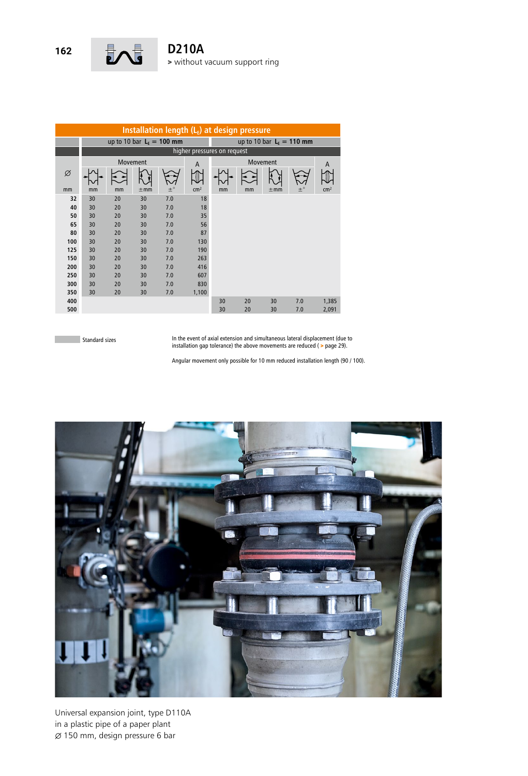

| Installation length $(L_F)$ at design pressure |                             |          |          |             |                 |                            |    |          |         |                 |
|------------------------------------------------|-----------------------------|----------|----------|-------------|-----------------|----------------------------|----|----------|---------|-----------------|
|                                                | up to 10 bar $L_F = 100$ mm |          |          |             |                 | up to 10 bar $LE = 110$ mm |    |          |         |                 |
|                                                | higher pressures on request |          |          |             |                 |                            |    |          |         |                 |
|                                                |                             | Movement |          |             | $\overline{A}$  |                            | A  |          |         |                 |
| Ø                                              |                             |          |          |             |                 |                            |    |          |         |                 |
| mm                                             | mm                          | mm       | $\pm$ mm | $\pm^\circ$ | cm <sup>2</sup> | mm                         | mm | $\pm$ mm | $\pm$ ° | cm <sup>2</sup> |
| 32                                             | 30                          | 20       | 30       | 7.0         | 18              |                            |    |          |         |                 |
| 40                                             | 30                          | 20       | 30       | 7.0         | 18              |                            |    |          |         |                 |
| 50                                             | 30                          | 20       | 30       | 7.0         | 35              |                            |    |          |         |                 |
| 65                                             | 30                          | 20       | 30       | 7.0         | 56              |                            |    |          |         |                 |
| 80                                             | 30                          | 20       | 30       | 7.0         | 87              |                            |    |          |         |                 |
| 100                                            | 30                          | 20       | 30       | 7.0         | 130             |                            |    |          |         |                 |
| 125                                            | 30                          | 20       | 30       | 7.0         | 190             |                            |    |          |         |                 |
| 150                                            | 30                          | 20       | 30       | 7.0         | 263             |                            |    |          |         |                 |
| 200                                            | 30                          | 20       | 30       | 7.0         | 416             |                            |    |          |         |                 |
| 250                                            | 30                          | 20       | 30       | 7.0         | 607             |                            |    |          |         |                 |
| 300                                            | 30                          | 20       | 30       | 7.0         | 830             |                            |    |          |         |                 |
| 350                                            | 30                          | 20       | 30       | 7.0         | 1,100           |                            |    |          |         |                 |
| 400                                            |                             |          |          |             |                 | 30                         | 20 | 30       | 7.0     | 1,385           |
| 500                                            |                             |          |          |             |                 | 30                         | 20 | 30       | 7.0     | 2,091           |

**College Standard sizes**  In the event of axial extension and simultaneous lateral displacement (due to installation gap tolerance) the above movements are reduced ( > page 29).

Angular movement only possible for 10 mm reduced installation length (90 / 100).



Universal expansion joint, type D110A in a plastic pipe of a paper plant  $\varnothing$  150 mm, design pressure 6 bar